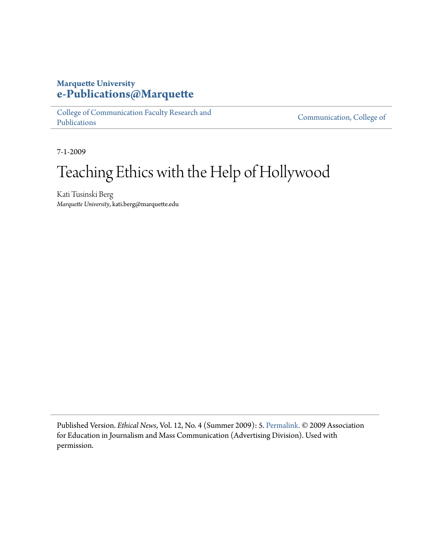#### **Marquette University [e-Publications@Marquette](https://epublications.marquette.edu)**

[College of Communication Faculty Research and](https://epublications.marquette.edu/comm_fac) [Publications](https://epublications.marquette.edu/comm_fac)

[Communication, College of](https://epublications.marquette.edu/communication)

7-1-2009

# Teaching Ethics with the Help of Hollywood

Kati Tusinski Berg *Marquette University*, kati.berg@marquette.edu

Published Version. *Ethical News*, Vol. 12, No. 4 (Summer 2009): 5. [Permalink.](http://journalism.uoregon.edu/~tbivins/aejmc_ethics/newsletter.html) © 2009 Association for Education in Journalism and Mass Communication (Advertising Division). Used with permission.